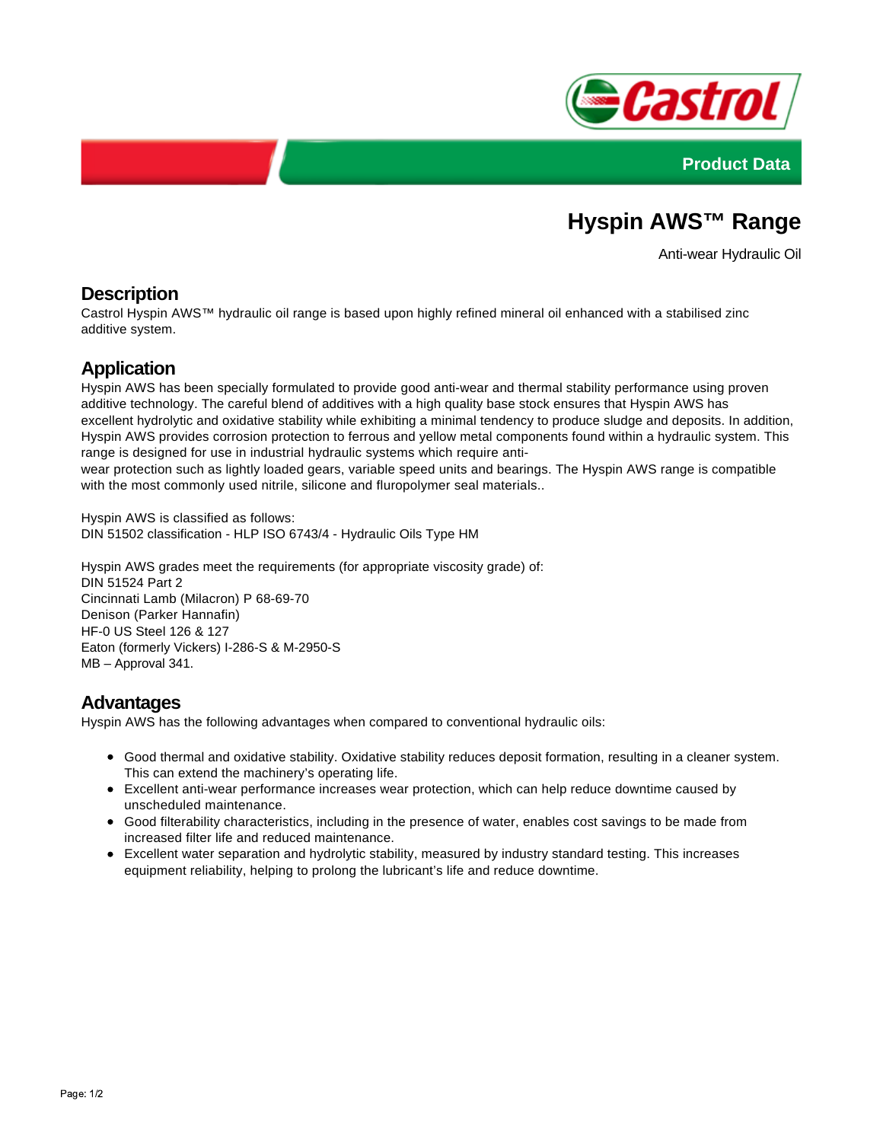



# **Hyspin AWS™ Range**

Anti-wear Hydraulic Oil

### **Description**

Castrol Hyspin AWS™ hydraulic oil range is based upon highly refined mineral oil enhanced with a stabilised zinc additive system.

### **Application**

Hyspin AWS has been specially formulated to provide good anti-wear and thermal stability performance using proven additive technology. The careful blend of additives with a high quality base stock ensures that Hyspin AWS has excellent hydrolytic and oxidative stability while exhibiting a minimal tendency to produce sludge and deposits. In addition, Hyspin AWS provides corrosion protection to ferrous and yellow metal components found within a hydraulic system. This range is designed for use in industrial hydraulic systems which require anti-

wear protection such as lightly loaded gears, variable speed units and bearings. The Hyspin AWS range is compatible with the most commonly used nitrile, silicone and fluropolymer seal materials..

Hyspin AWS is classified as follows: DIN 51502 classification - HLP ISO 6743/4 - Hydraulic Oils Type HM

Hyspin AWS grades meet the requirements (for appropriate viscosity grade) of: DIN 51524 Part 2 Cincinnati Lamb (Milacron) P 68-69-70 Denison (Parker Hannafin) HF-0 US Steel 126 & 127 Eaton (formerly Vickers) I-286-S & M-2950-S MB – Approval 341.

#### **Advantages**

Hyspin AWS has the following advantages when compared to conventional hydraulic oils:

- Good thermal and oxidative stability. Oxidative stability reduces deposit formation, resulting in a cleaner system. This can extend the machinery's operating life.
- Excellent anti-wear performance increases wear protection, which can help reduce downtime caused by unscheduled maintenance.
- Good filterability characteristics, including in the presence of water, enables cost savings to be made from increased filter life and reduced maintenance.
- Excellent water separation and hydrolytic stability, measured by industry standard testing. This increases equipment reliability, helping to prolong the lubricant's life and reduce downtime.